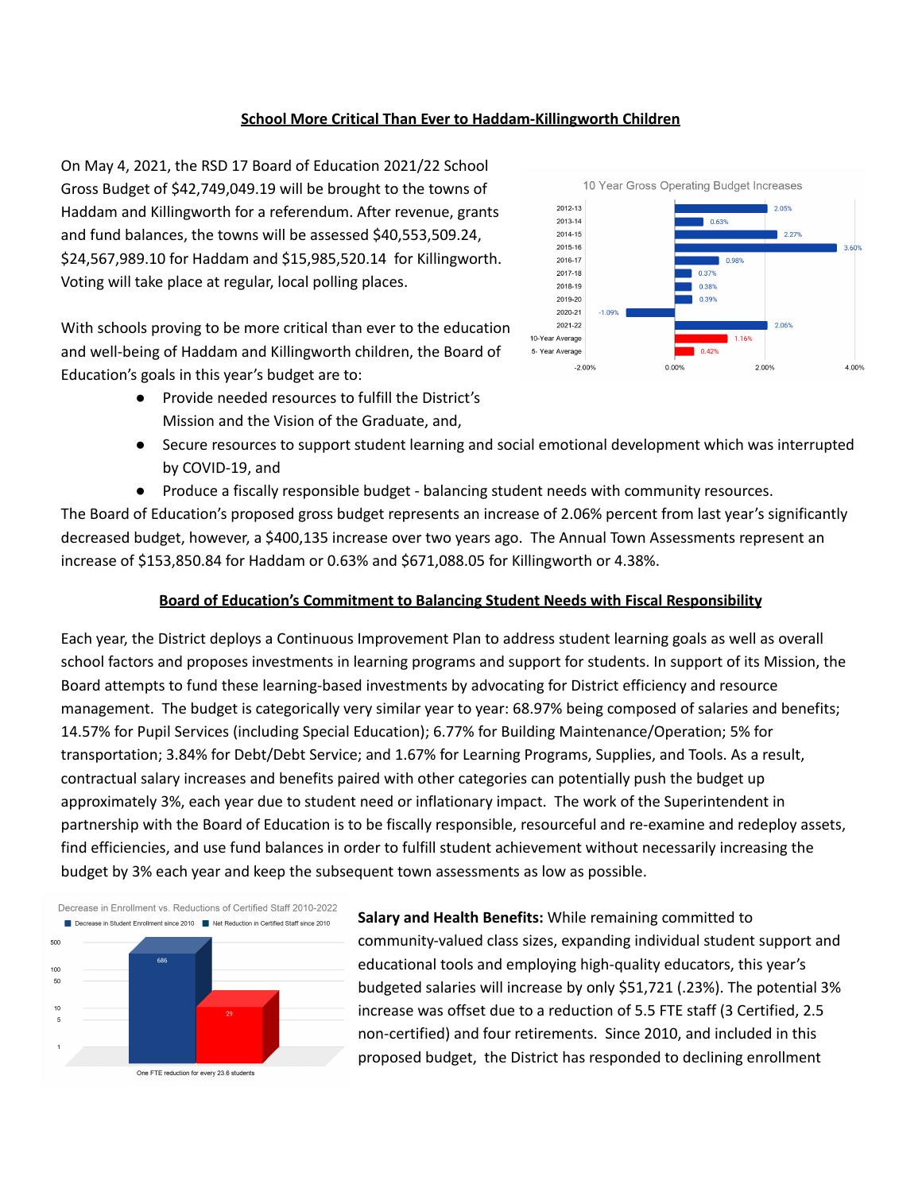## **School More Critical Than Ever to Haddam-Killingworth Children**

On May 4, 2021, the RSD 17 Board of Education 2021/22 School Gross Budget of \$42,749,049.19 will be brought to the towns of Haddam and Killingworth for a referendum. After revenue, grants and fund balances, the towns will be assessed \$40,553,509.24, \$24,567,989.10 for Haddam and \$15,985,520.14 for Killingworth. Voting will take place at regular, local polling places.

With schools proving to be more critical than ever to the education and well-being of Haddam and Killingworth children, the Board of Education's goals in this year's budget are to:

> ● Provide needed resources to fulfill the District's Mission and the Vision of the Graduate, and,



- Secure resources to support student learning and social emotional development which was interrupted by COVID-19, and
- Produce a fiscally responsible budget balancing student needs with community resources.

The Board of Education's proposed gross budget represents an increase of 2.06% percent from last year's significantly decreased budget, however, a \$400,135 increase over two years ago. The Annual Town Assessments represent an increase of \$153,850.84 for Haddam or 0.63% and \$671,088.05 for Killingworth or 4.38%.

# **Board of Education's Commitment to Balancing Student Needs with Fiscal Responsibility**

Each year, the District deploys a Continuous Improvement Plan to address student learning goals as well as overall school factors and proposes investments in learning programs and support for students. In support of its Mission, the Board attempts to fund these learning-based investments by advocating for District efficiency and resource management. The budget is categorically very similar year to year: 68.97% being composed of salaries and benefits; 14.57% for Pupil Services (including Special Education); 6.77% for Building Maintenance/Operation; 5% for transportation; 3.84% for Debt/Debt Service; and 1.67% for Learning Programs, Supplies, and Tools. As a result, contractual salary increases and benefits paired with other categories can potentially push the budget up approximately 3%, each year due to student need or inflationary impact. The work of the Superintendent in partnership with the Board of Education is to be fiscally responsible, resourceful and re-examine and redeploy assets, find efficiencies, and use fund balances in order to fulfill student achievement without necessarily increasing the budget by 3% each year and keep the subsequent town assessments as low as possible.



**Salary and Health Benefits:** While remaining committed to community-valued class sizes, expanding individual student support and educational tools and employing high-quality educators, this year's budgeted salaries will increase by only \$51,721 (.23%). The potential 3% increase was offset due to a reduction of 5.5 FTE staff (3 Certified, 2.5 non-certified) and four retirements. Since 2010, and included in this proposed budget, the District has responded to declining enrollment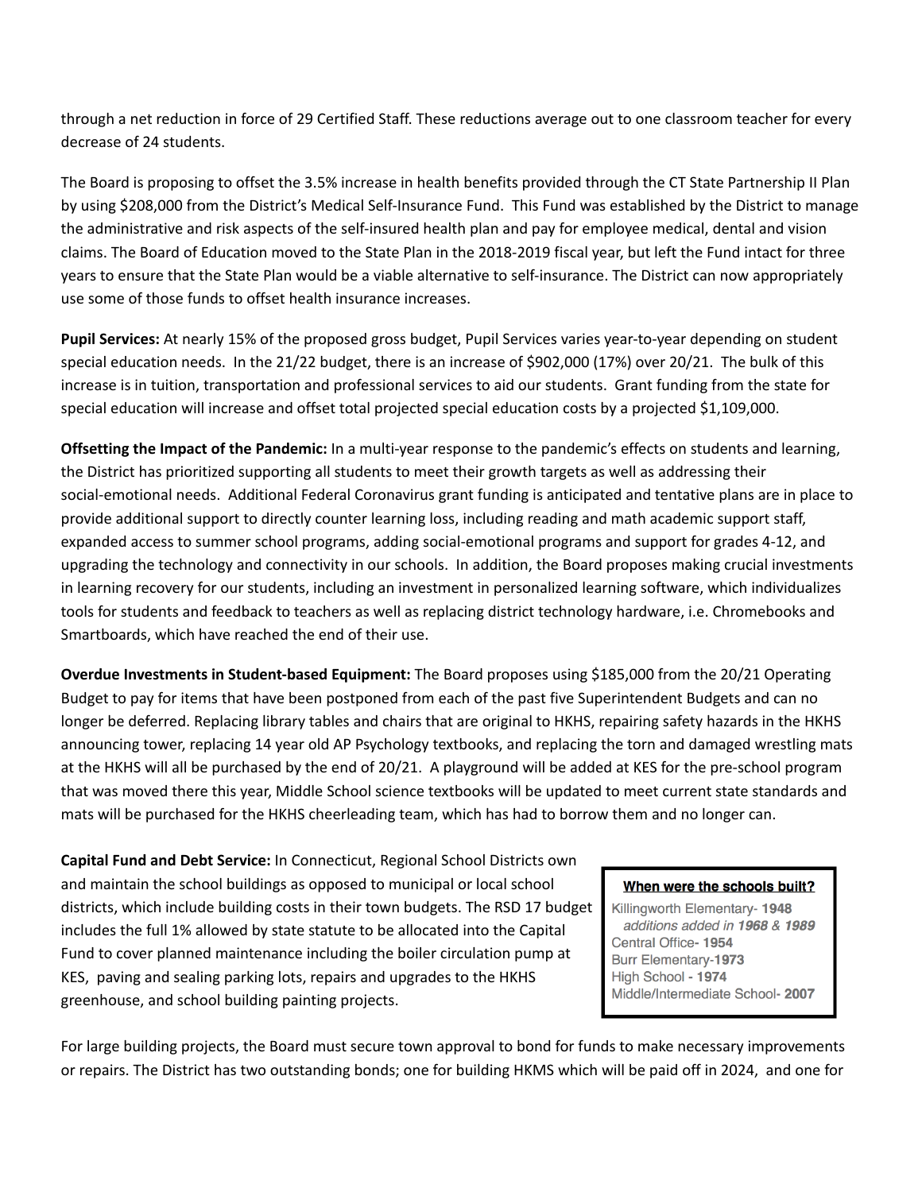through a net reduction in force of 29 Certified Staff. These reductions average out to one classroom teacher for every decrease of 24 students.

The Board is proposing to offset the 3.5% increase in health benefits provided through the CT State Partnership II Plan by using \$208,000 from the District's Medical Self-Insurance Fund. This Fund was established by the District to manage the administrative and risk aspects of the self-insured health plan and pay for employee medical, dental and vision claims. The Board of Education moved to the State Plan in the 2018-2019 fiscal year, but left the Fund intact for three years to ensure that the State Plan would be a viable alternative to self-insurance. The District can now appropriately use some of those funds to offset health insurance increases.

**Pupil Services:** At nearly 15% of the proposed gross budget, Pupil Services varies year-to-year depending on student special education needs. In the 21/22 budget, there is an increase of \$902,000 (17%) over 20/21. The bulk of this increase is in tuition, transportation and professional services to aid our students. Grant funding from the state for special education will increase and offset total projected special education costs by a projected \$1,109,000.

**Offsetting the Impact of the Pandemic:** In a multi-year response to the pandemic's effects on students and learning, the District has prioritized supporting all students to meet their growth targets as well as addressing their social-emotional needs. Additional Federal Coronavirus grant funding is anticipated and tentative plans are in place to provide additional support to directly counter learning loss, including reading and math academic support staff, expanded access to summer school programs, adding social-emotional programs and support for grades 4-12, and upgrading the technology and connectivity in our schools. In addition, the Board proposes making crucial investments in learning recovery for our students, including an investment in personalized learning software, which individualizes tools for students and feedback to teachers as well as replacing district technology hardware, i.e. Chromebooks and Smartboards, which have reached the end of their use.

**Overdue Investments in Student-based Equipment:** The Board proposes using \$185,000 from the 20/21 Operating Budget to pay for items that have been postponed from each of the past five Superintendent Budgets and can no longer be deferred. Replacing library tables and chairs that are original to HKHS, repairing safety hazards in the HKHS announcing tower, replacing 14 year old AP Psychology textbooks, and replacing the torn and damaged wrestling mats at the HKHS will all be purchased by the end of 20/21. A playground will be added at KES for the pre-school program that was moved there this year, Middle School science textbooks will be updated to meet current state standards and mats will be purchased for the HKHS cheerleading team, which has had to borrow them and no longer can.

**Capital Fund and Debt Service:** In Connecticut, Regional School Districts own and maintain the school buildings as opposed to municipal or local school districts, which include building costs in their town budgets. The RSD 17 budget includes the full 1% allowed by state statute to be allocated into the Capital Fund to cover planned maintenance including the boiler circulation pump at KES, paving and sealing parking lots, repairs and upgrades to the HKHS greenhouse, and school building painting projects.

## When were the schools built?

Killingworth Elementary- 1948 additions added in 1968 & 1989 Central Office-1954 **Burr Elementary-1973** High School - 1974 Middle/Intermediate School- 2007

For large building projects, the Board must secure town approval to bond for funds to make necessary improvements or repairs. The District has two outstanding bonds; one for building HKMS which will be paid off in 2024, and one for